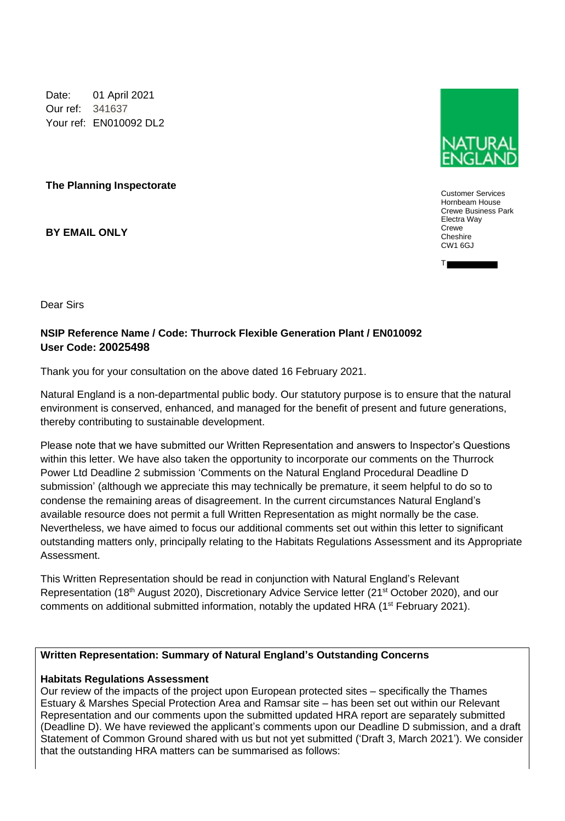Date: 01 April 2021 Our ref: 341637 Your ref: EN010092 DL2

**The Planning Inspectorate**

**BY EMAIL ONLY**



Customer Services Hornbeam House Crewe Business Park Electra Way **Crewe** Cheshire CW1 6GJ

T

Dear Sirs

# **NSIP Reference Name / Code: Thurrock Flexible Generation Plant / EN010092 User Code: 20025498**

Thank you for your consultation on the above dated 16 February 2021.

Natural England is a non-departmental public body. Our statutory purpose is to ensure that the natural environment is conserved, enhanced, and managed for the benefit of present and future generations, thereby contributing to sustainable development.

Please note that we have submitted our Written Representation and answers to Inspector's Questions within this letter. We have also taken the opportunity to incorporate our comments on the Thurrock Power Ltd Deadline 2 submission 'Comments on the Natural England Procedural Deadline D submission' (although we appreciate this may technically be premature, it seem helpful to do so to condense the remaining areas of disagreement. In the current circumstances Natural England's available resource does not permit a full Written Representation as might normally be the case. Nevertheless, we have aimed to focus our additional comments set out within this letter to significant outstanding matters only, principally relating to the Habitats Regulations Assessment and its Appropriate Assessment.

This Written Representation should be read in conjunction with Natural England's Relevant Representation (18<sup>th</sup> August 2020), Discretionary Advice Service letter (21<sup>st</sup> October 2020), and our comments on additional submitted information, notably the updated HRA (1<sup>st</sup> February 2021).

## **Written Representation: Summary of Natural England's Outstanding Concerns**

## **Habitats Regulations Assessment**

Our review of the impacts of the project upon European protected sites – specifically the Thames Estuary & Marshes Special Protection Area and Ramsar site – has been set out within our Relevant Representation and our comments upon the submitted updated HRA report are separately submitted (Deadline D). We have reviewed the applicant's comments upon our Deadline D submission, and a draft Statement of Common Ground shared with us but not yet submitted ('Draft 3, March 2021'). We consider that the outstanding HRA matters can be summarised as follows: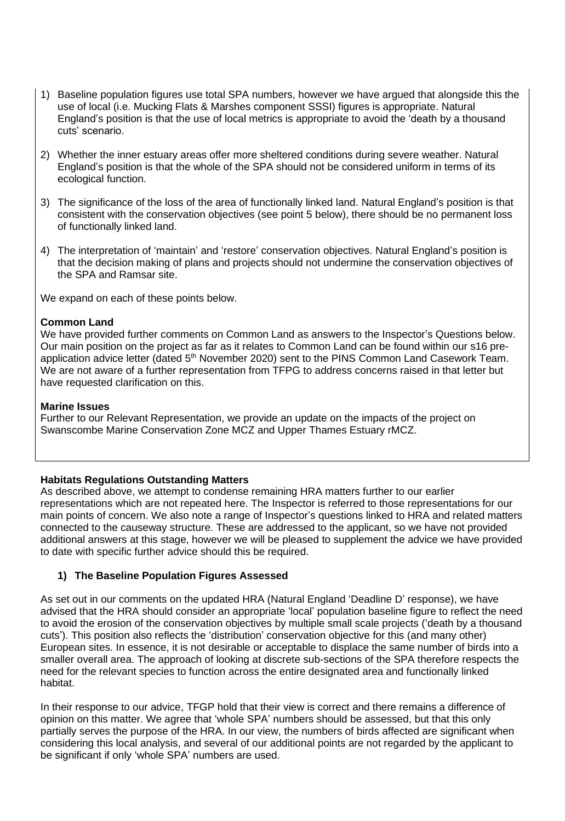- 1) Baseline population figures use total SPA numbers, however we have argued that alongside this the use of local (i.e. Mucking Flats & Marshes component SSSI) figures is appropriate. Natural England's position is that the use of local metrics is appropriate to avoid the 'death by a thousand cuts' scenario.
- 2) Whether the inner estuary areas offer more sheltered conditions during severe weather. Natural England's position is that the whole of the SPA should not be considered uniform in terms of its ecological function.
- 3) The significance of the loss of the area of functionally linked land. Natural England's position is that consistent with the conservation objectives (see point 5 below), there should be no permanent loss of functionally linked land.
- 4) The interpretation of 'maintain' and 'restore' conservation objectives. Natural England's position is that the decision making of plans and projects should not undermine the conservation objectives of the SPA and Ramsar site.

We expand on each of these points below.

## **Common Land**

We have provided further comments on Common Land as answers to the Inspector's Questions below. Our main position on the project as far as it relates to Common Land can be found within our s16 preapplication advice letter (dated 5<sup>th</sup> November 2020) sent to the PINS Common Land Casework Team. We are not aware of a further representation from TFPG to address concerns raised in that letter but have requested clarification on this.

## **Marine Issues**

Further to our Relevant Representation, we provide an update on the impacts of the project on Swanscombe Marine Conservation Zone MCZ and Upper Thames Estuary rMCZ.

## **Habitats Regulations Outstanding Matters**

As described above, we attempt to condense remaining HRA matters further to our earlier representations which are not repeated here. The Inspector is referred to those representations for our main points of concern. We also note a range of Inspector's questions linked to HRA and related matters connected to the causeway structure. These are addressed to the applicant, so we have not provided additional answers at this stage, however we will be pleased to supplement the advice we have provided to date with specific further advice should this be required.

# **1) The Baseline Population Figures Assessed**

As set out in our comments on the updated HRA (Natural England 'Deadline D' response), we have advised that the HRA should consider an appropriate 'local' population baseline figure to reflect the need to avoid the erosion of the conservation objectives by multiple small scale projects ('death by a thousand cuts'). This position also reflects the 'distribution' conservation objective for this (and many other) European sites. In essence, it is not desirable or acceptable to displace the same number of birds into a smaller overall area. The approach of looking at discrete sub-sections of the SPA therefore respects the need for the relevant species to function across the entire designated area and functionally linked habitat.

In their response to our advice, TFGP hold that their view is correct and there remains a difference of opinion on this matter. We agree that 'whole SPA' numbers should be assessed, but that this only partially serves the purpose of the HRA. In our view, the numbers of birds affected are significant when considering this local analysis, and several of our additional points are not regarded by the applicant to be significant if only 'whole SPA' numbers are used.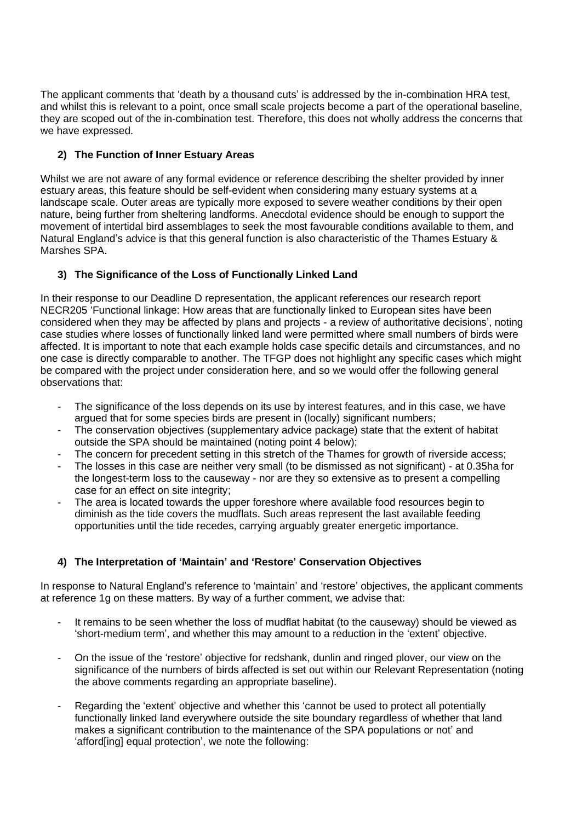The applicant comments that 'death by a thousand cuts' is addressed by the in-combination HRA test, and whilst this is relevant to a point, once small scale projects become a part of the operational baseline, they are scoped out of the in-combination test. Therefore, this does not wholly address the concerns that we have expressed.

# **2) The Function of Inner Estuary Areas**

Whilst we are not aware of any formal evidence or reference describing the shelter provided by inner estuary areas, this feature should be self-evident when considering many estuary systems at a landscape scale. Outer areas are typically more exposed to severe weather conditions by their open nature, being further from sheltering landforms. Anecdotal evidence should be enough to support the movement of intertidal bird assemblages to seek the most favourable conditions available to them, and Natural England's advice is that this general function is also characteristic of the Thames Estuary & Marshes SPA.

# **3) The Significance of the Loss of Functionally Linked Land**

In their response to our Deadline D representation, the applicant references our research report NECR205 'Functional linkage: How areas that are functionally linked to European sites have been considered when they may be affected by plans and projects - a review of authoritative decisions', noting case studies where losses of functionally linked land were permitted where small numbers of birds were affected. It is important to note that each example holds case specific details and circumstances, and no one case is directly comparable to another. The TFGP does not highlight any specific cases which might be compared with the project under consideration here, and so we would offer the following general observations that:

- The significance of the loss depends on its use by interest features, and in this case, we have argued that for some species birds are present in (locally) significant numbers;
- The conservation objectives (supplementary advice package) state that the extent of habitat outside the SPA should be maintained (noting point 4 below);
- The concern for precedent setting in this stretch of the Thames for growth of riverside access;
- The losses in this case are neither very small (to be dismissed as not significant) at 0.35ha for the longest-term loss to the causeway - nor are they so extensive as to present a compelling case for an effect on site integrity;
- The area is located towards the upper foreshore where available food resources begin to diminish as the tide covers the mudflats. Such areas represent the last available feeding opportunities until the tide recedes, carrying arguably greater energetic importance.

# **4) The Interpretation of 'Maintain' and 'Restore' Conservation Objectives**

In response to Natural England's reference to 'maintain' and 'restore' objectives, the applicant comments at reference 1g on these matters. By way of a further comment, we advise that:

- It remains to be seen whether the loss of mudflat habitat (to the causeway) should be viewed as 'short-medium term', and whether this may amount to a reduction in the 'extent' objective.
- On the issue of the 'restore' objective for redshank, dunlin and ringed plover, our view on the significance of the numbers of birds affected is set out within our Relevant Representation (noting the above comments regarding an appropriate baseline).
- Regarding the 'extent' objective and whether this 'cannot be used to protect all potentially functionally linked land everywhere outside the site boundary regardless of whether that land makes a significant contribution to the maintenance of the SPA populations or not' and 'afford[ing] equal protection', we note the following: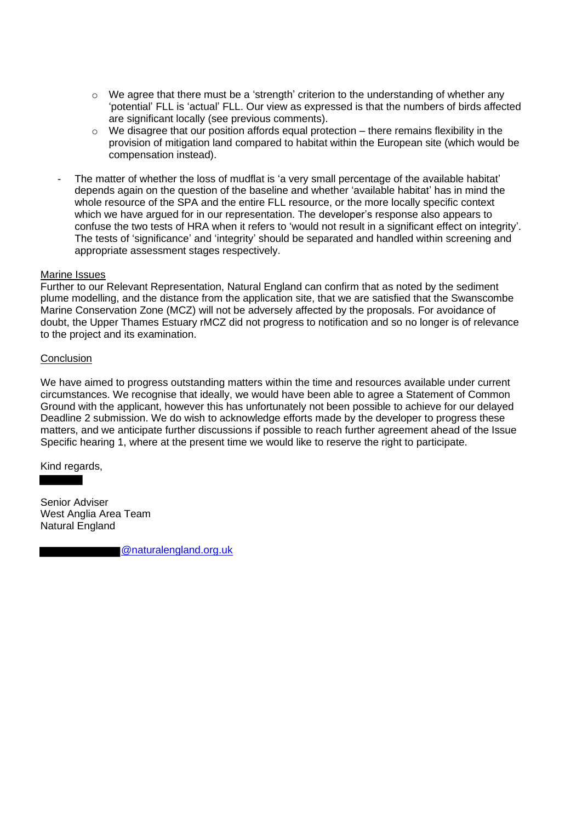- $\circ$  We agree that there must be a 'strength' criterion to the understanding of whether any 'potential' FLL is 'actual' FLL. Our view as expressed is that the numbers of birds affected are significant locally (see previous comments).
- $\circ$  We disagree that our position affords equal protection there remains flexibility in the provision of mitigation land compared to habitat within the European site (which would be compensation instead).
- The matter of whether the loss of mudflat is 'a very small percentage of the available habitat' depends again on the question of the baseline and whether 'available habitat' has in mind the whole resource of the SPA and the entire FLL resource, or the more locally specific context which we have argued for in our representation. The developer's response also appears to confuse the two tests of HRA when it refers to 'would not result in a significant effect on integrity'. The tests of 'significance' and 'integrity' should be separated and handled within screening and appropriate assessment stages respectively.

#### Marine Issues

Further to our Relevant Representation, Natural England can confirm that as noted by the sediment plume modelling, and the distance from the application site, that we are satisfied that the Swanscombe Marine Conservation Zone (MCZ) will not be adversely affected by the proposals. For avoidance of doubt, the Upper Thames Estuary rMCZ did not progress to notification and so no longer is of relevance to the project and its examination.

#### **Conclusion**

We have aimed to progress outstanding matters within the time and resources available under current circumstances. We recognise that ideally, we would have been able to agree a Statement of Common Ground with the applicant, however this has unfortunately not been possible to achieve for our delayed Deadline 2 submission. We do wish to acknowledge efforts made by the developer to progress these matters, and we anticipate further discussions if possible to reach further agreement ahead of the Issue Specific hearing 1, where at the present time we would like to reserve the right to participate.

Kind regards,

Senior Adviser West Anglia Area Team Natural England

@naturalengland.org.uk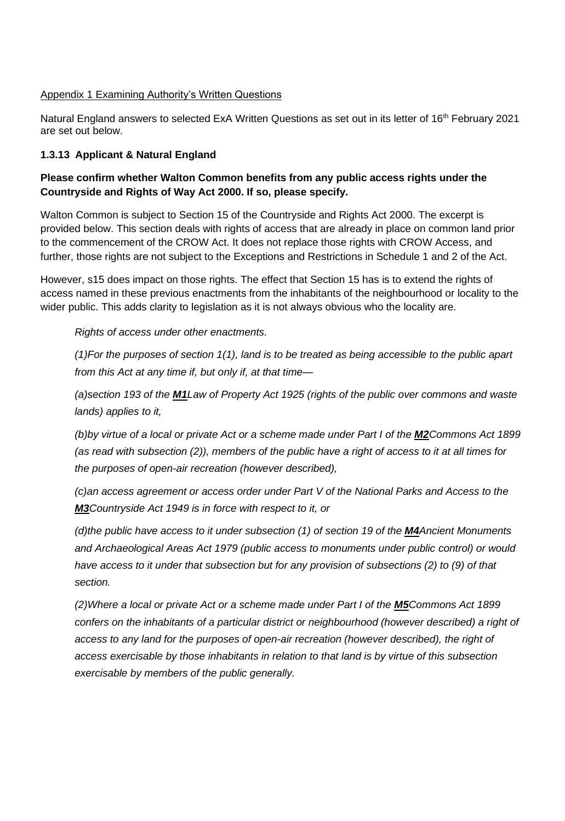#### Appendix 1 Examining Authority's Written Questions

Natural England answers to selected ExA Written Questions as set out in its letter of 16<sup>th</sup> February 2021 are set out below.

## **1.3.13 Applicant & Natural England**

## **Please confirm whether Walton Common benefits from any public access rights under the Countryside and Rights of Way Act 2000. If so, please specify.**

Walton Common is subject to Section 15 of the Countryside and Rights Act 2000. The excerpt is provided below. This section deals with rights of access that are already in place on common land prior to the commencement of the CROW Act. It does not replace those rights with CROW Access, and further, those rights are not subject to the Exceptions and Restrictions in Schedule 1 and 2 of the Act.

However, s15 does impact on those rights. The effect that Section 15 has is to extend the rights of access named in these previous enactments from the inhabitants of the neighbourhood or locality to the wider public. This adds clarity to legislation as it is not always obvious who the locality are.

#### *Rights of access under other enactments.*

*(1)For the purposes of section 1(1), land is to be treated as being accessible to the public apart from this Act at any time if, but only if, at that time—*

*(a)section 193 of the M1Law of Property Act 1925 (rights of the public over commons and waste lands) applies to it,*

*(b)by virtue of a local or private Act or a scheme made under Part I of the M2Commons Act 1899 (as read with subsection (2)), members of the public have a right of access to it at all times for the purposes of open-air recreation (however described),*

*(c)an access agreement or access order under Part V of the National Parks and Access to the M3Countryside Act 1949 is in force with respect to it, or*

*(d)the public have access to it under subsection (1) of section 19 of the M4Ancient Monuments and Archaeological Areas Act 1979 (public access to monuments under public control) or would have access to it under that subsection but for any provision of subsections (2) to (9) of that section.*

*(2)Where a local or private Act or a scheme made under Part I of the M5Commons Act 1899 confers on the inhabitants of a particular district or neighbourhood (however described) a right of access to any land for the purposes of open-air recreation (however described), the right of access exercisable by those inhabitants in relation to that land is by virtue of this subsection exercisable by members of the public generally.*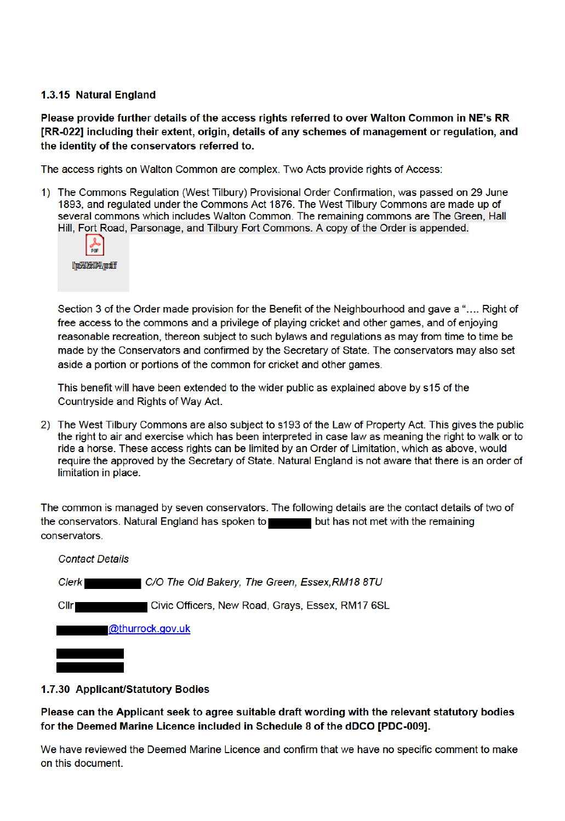## 1.3.15 Natural England

Please provide further details of the access rights referred to over Walton Common in NE's RR [RR-022] including their extent, origin, details of any schemes of management or regulation, and the identity of the conservators referred to.

The access rights on Walton Common are complex. Two Acts provide rights of Access:

1) The Commons Regulation (West Tilbury) Provisional Order Confirmation, was passed on 29 June 1893, and regulated under the Commons Act 1876. The West Tilbury Commons are made up of several commons which includes Walton Common. The remaining commons are The Green, Hall Hill, Fort Road, Parsonage, and Tilbury Fort Commons. A copy of the Order is appended.



Section 3 of the Order made provision for the Benefit of the Neighbourhood and gave a ".... Right of free access to the commons and a privilege of playing cricket and other games, and of enjoying reasonable recreation, thereon subject to such bylaws and regulations as may from time to time be made by the Conservators and confirmed by the Secretary of State. The conservators may also set aside a portion or portions of the common for cricket and other games.

This benefit will have been extended to the wider public as explained above by s15 of the Countryside and Rights of Way Act.

2) The West Tilbury Commons are also subject to s193 of the Law of Property Act. This gives the public the right to air and exercise which has been interpreted in case law as meaning the right to walk or to ride a horse. These access rights can be limited by an Order of Limitation, which as above, would require the approved by the Secretary of State. Natural England is not aware that there is an order of limitation in place.

The common is managed by seven conservators. The following details are the contact details of two of the conservators. Natural England has spoken to but has not met with the remaining conservators.

| <b>Contact Details</b>                                               |
|----------------------------------------------------------------------|
| <b>Clerk</b><br>  C/O The Old Bakery, The Green, Essex,RM18 8TU      |
| Civic Officers, New Road, Grays, Essex, RM17 6SL<br>Cl <sub>  </sub> |
| @thurrock.gov.uk                                                     |
|                                                                      |

## 1.7.30 Applicant/Statutory Bodies

Please can the Applicant seek to agree suitable draft wording with the relevant statutory bodies for the Deemed Marine Licence included in Schedule 8 of the dDCO [PDC-009].

We have reviewed the Deemed Marine Licence and confirm that we have no specific comment to make on this document.